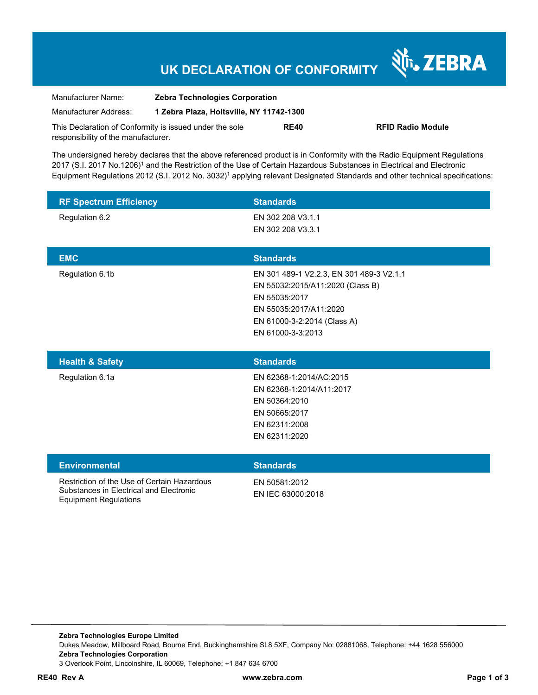# **UK DECLARATION OF CONFORMITY**

| Manufacturer Name:                                      | <b>Zebra Technologies Corporation</b>    |             |                   |
|---------------------------------------------------------|------------------------------------------|-------------|-------------------|
| Manufacturer Address:                                   | 1 Zebra Plaza, Holtsville, NY 11742-1300 |             |                   |
| This Declaration of Conformity is issued under the sole |                                          | <b>RE40</b> | <b>RFID Radio</b> |
| responsibility of the manufacturer.                     |                                          |             |                   |

The undersigned hereby declares that the above referenced product is in Conformity with the Radio Equipment Regulations 2017 (S.I. 2017 No.1206)<sup>1</sup> and the Restriction of the Use of Certain Hazardous Substances in Electrical and Electronic Equipment Regulations 2012 (S.I. 2012 No. 3032)<sup>1</sup> applying relevant Designated Standards and other technical specifications:

| <b>RF Spectrum Efficiency</b> | <b>Standards</b>                         |
|-------------------------------|------------------------------------------|
| Regulation 6.2                | EN 302 208 V3.1.1                        |
|                               | EN 302 208 V3.3.1                        |
|                               |                                          |
| <b>EMC</b>                    | <b>Standards</b>                         |
| Regulation 6.1b               | EN 301 489-1 V2.2.3, EN 301 489-3 V2.1.1 |
|                               |                                          |
|                               | EN 55032:2015/A11:2020 (Class B)         |
|                               | EN 55035:2017                            |
|                               | EN 55035:2017/A11:2020                   |
|                               | EN 61000-3-2:2014 (Class A)              |

| <b>Health &amp; Safety</b> | <b>Standards</b>         |
|----------------------------|--------------------------|
| Regulation 6.1a            | EN 62368-1:2014/AC:2015  |
|                            | EN 62368-1:2014/A11:2017 |
|                            | EN 50364:2010            |
|                            | EN 50665:2017            |
|                            | EN 62311:2008            |
|                            | EN 62311:2020            |
|                            |                          |

| <b>Environmental</b>                                                                                                   | <b>Standards</b>                   |
|------------------------------------------------------------------------------------------------------------------------|------------------------------------|
| Restriction of the Use of Certain Hazardous<br>Substances in Electrical and Electronic<br><b>Equipment Regulations</b> | FN 50581:2012<br>EN IEC 63000:2018 |

**Module** 

Nr. ZEBRA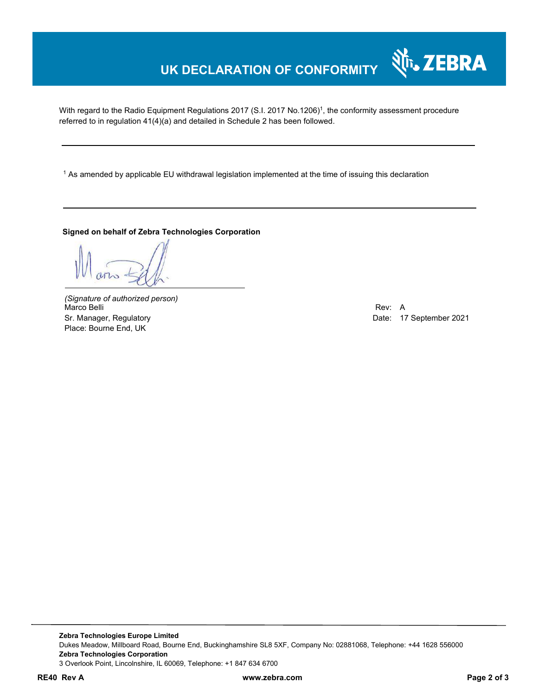# **UK DECLARATION OF CONFORMITY**

With regard to the Radio Equipment Regulations 2017 (S.I. 2017 No.1206)<sup>1</sup>, the conformity assessment procedure referred to in regulation 41(4)(a) and detailed in Schedule 2 has been followed.

1 As amended by applicable EU withdrawal legislation implemented at the time of issuing this declaration

#### **Signed on behalf of Zebra Technologies Corporation**

*(Signature of authorized person)* Marco Belli Rev: A Sr. Manager, Regulatory and European Communication Communication Communication Communication Date: 17 September 2021 Place: Bourne End, UK

र्शे<sub>ि</sub> ZEBRA

**Zebra Technologies Europe Limited**  Dukes Meadow, Millboard Road, Bourne End, Buckinghamshire SL8 5XF, Company No: 02881068, Telephone: +44 1628 556000 **Zebra Technologies Corporation**  3 Overlook Point, Lincolnshire, IL 60069, Telephone: +1 847 634 6700